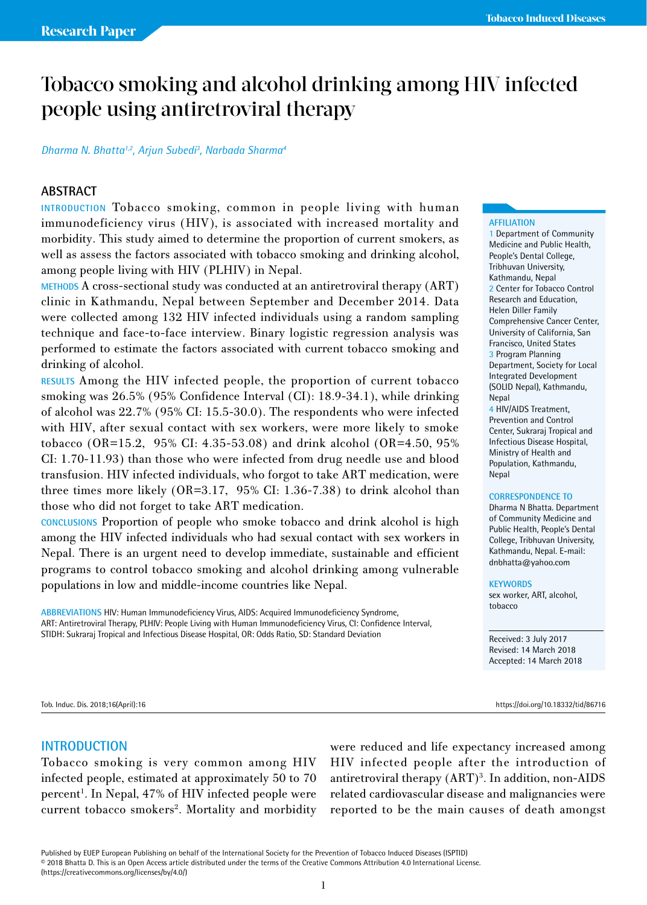# Tobacco smoking and alcohol drinking among HIV infected people using antiretroviral therapy

#### *Dharma N. Bhatta1,2, Arjun Subedi3 , Narbada Sharma4*

## **ABSTRACT**

**INTRODUCTION** Tobacco smoking, common in people living with human immunodeficiency virus (HIV), is associated with increased mortality and morbidity. This study aimed to determine the proportion of current smokers, as well as assess the factors associated with tobacco smoking and drinking alcohol, among people living with HIV (PLHIV) in Nepal.

**METHODS** A cross-sectional study was conducted at an antiretroviral therapy (ART) clinic in Kathmandu, Nepal between September and December 2014. Data were collected among 132 HIV infected individuals using a random sampling technique and face-to-face interview. Binary logistic regression analysis was performed to estimate the factors associated with current tobacco smoking and drinking of alcohol.

**RESULTS** Among the HIV infected people, the proportion of current tobacco smoking was 26.5% (95% Confidence Interval (CI): 18.9-34.1), while drinking of alcohol was 22.7% (95% CI: 15.5-30.0). The respondents who were infected with HIV, after sexual contact with sex workers, were more likely to smoke tobacco (OR=15.2, 95% CI: 4.35-53.08) and drink alcohol (OR=4.50, 95% CI: 1.70-11.93) than those who were infected from drug needle use and blood transfusion. HIV infected individuals, who forgot to take ART medication, were three times more likely (OR=3.17, 95% CI: 1.36-7.38) to drink alcohol than those who did not forget to take ART medication.

**CONCLUSIONS** Proportion of people who smoke tobacco and drink alcohol is high among the HIV infected individuals who had sexual contact with sex workers in Nepal. There is an urgent need to develop immediate, sustainable and efficient programs to control tobacco smoking and alcohol drinking among vulnerable populations in low and middle-income countries like Nepal.

**ABBREVIATIONS** HIV: Human Immunodeficiency Virus, AIDS: Acquired Immunodeficiency Syndrome, ART: Antiretroviral Therapy, PLHIV: People Living with Human Immunodeficiency Virus, CI: Confidence Interval, STIDH: Sukraraj Tropical and Infectious Disease Hospital, OR: Odds Ratio, SD: Standard Deviation

# **AFFILIATION**

1 Department of Community Medicine and Public Health, People's Dental College, Tribhuvan University, Kathmandu, Nepal 2 Center for Tobacco Control Research and Education, Helen Diller Family Comprehensive Cancer Center, University of California, San Francisco, United States 3 Program Planning Department, Society for Local Integrated Development (SOLID Nepal), Kathmandu, **Nepal** 4 HIV/AIDS Treatment, Prevention and Control Center, Sukraraj Tropical and Infectious Disease Hospital, Ministry of Health and

#### **CORRESPONDENCE TO**

Population, Kathmandu,

Dharma N Bhatta. Department of Community Medicine and Public Health, People's Dental College, Tribhuvan University, Kathmandu, Nepal. E-mail: dnbhatta@yahoo.com

#### **KEYWORDS**

**Nepal** 

sex worker, ART, alcohol, tobacco

Received: 3 July 2017 Revised: 14 March 2018 Accepted: 14 March 2018

Tob. Induc. Dis. 2018;16(April):16 https://doi.org/10.18332/tid/86716

#### **INTRODUCTION**

Tobacco smoking is very common among HIV infected people, estimated at approximately 50 to 70 percent<sup>1</sup>. In Nepal, 47% of HIV infected people were current tobacco smokers<sup>2</sup>. Mortality and morbidity were reduced and life expectancy increased among HIV infected people after the introduction of antiretroviral therapy (ART)<sup>3</sup>. In addition, non-AIDS related cardiovascular disease and malignancies were reported to be the main causes of death amongst

Published by EUEP European Publishing on behalf of the International Society for the Prevention of Tobacco Induced Diseases (ISPTID) © 2018 Bhatta D. This is an Open Access article distributed under the terms of the Creative Commons Attribution 4.0 International License. (https://creativecommons.org/licenses/by/4.0/)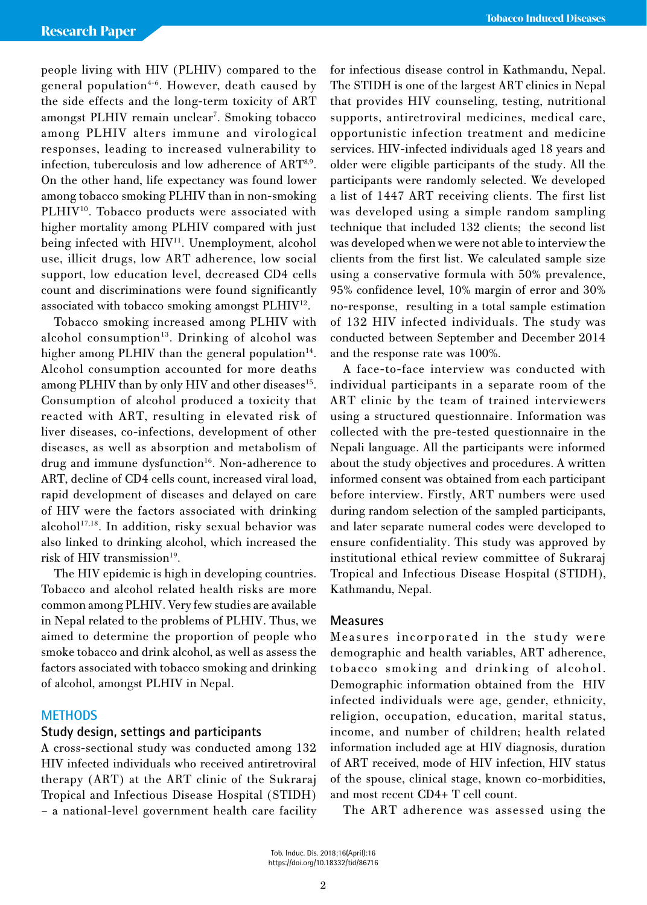people living with HIV (PLHIV) compared to the general population<sup>4-6</sup>. However, death caused by the side effects and the long-term toxicity of ART amongst PLHIV remain unclear<sup>7</sup>. Smoking tobacco among PLHIV alters immune and virological responses, leading to increased vulnerability to infection, tuberculosis and low adherence of ART8,9. On the other hand, life expectancy was found lower among tobacco smoking PLHIV than in non-smoking PLHIV<sup>10</sup>. Tobacco products were associated with higher mortality among PLHIV compared with just being infected with HIV<sup>11</sup>. Unemployment, alcohol use, illicit drugs, low ART adherence, low social support, low education level, decreased CD4 cells count and discriminations were found significantly associated with tobacco smoking amongst PLHIV12.

Tobacco smoking increased among PLHIV with alcohol consumption<sup>13</sup>. Drinking of alcohol was higher among PLHIV than the general population $14$ . Alcohol consumption accounted for more deaths among PLHIV than by only HIV and other diseases<sup>15</sup>. Consumption of alcohol produced a toxicity that reacted with ART, resulting in elevated risk of liver diseases, co-infections, development of other diseases, as well as absorption and metabolism of drug and immune dysfunction<sup>16</sup>. Non-adherence to ART, decline of CD4 cells count, increased viral load, rapid development of diseases and delayed on care of HIV were the factors associated with drinking alcohol<sup>17,18</sup>. In addition, risky sexual behavior was also linked to drinking alcohol, which increased the risk of HIV transmission<sup>19</sup>.

The HIV epidemic is high in developing countries. Tobacco and alcohol related health risks are more common among PLHIV. Very few studies are available in Nepal related to the problems of PLHIV. Thus, we aimed to determine the proportion of people who smoke tobacco and drink alcohol, as well as assess the factors associated with tobacco smoking and drinking of alcohol, amongst PLHIV in Nepal.

#### **METHODS**

#### **Study design, settings and participants**

A cross-sectional study was conducted among 132 HIV infected individuals who received antiretroviral therapy (ART) at the ART clinic of the Sukraraj Tropical and Infectious Disease Hospital (STIDH) – a national-level government health care facility for infectious disease control in Kathmandu, Nepal. The STIDH is one of the largest ART clinics in Nepal that provides HIV counseling, testing, nutritional supports, antiretroviral medicines, medical care, opportunistic infection treatment and medicine services. HIV-infected individuals aged 18 years and older were eligible participants of the study. All the participants were randomly selected. We developed a list of 1447 ART receiving clients. The first list was developed using a simple random sampling technique that included 132 clients; the second list was developed when we were not able to interview the clients from the first list. We calculated sample size using a conservative formula with 50% prevalence, 95% confidence level, 10% margin of error and 30% no-response, resulting in a total sample estimation of 132 HIV infected individuals. The study was conducted between September and December 2014 and the response rate was 100%.

A face-to-face interview was conducted with individual participants in a separate room of the ART clinic by the team of trained interviewers using a structured questionnaire. Information was collected with the pre-tested questionnaire in the Nepali language. All the participants were informed about the study objectives and procedures. A written informed consent was obtained from each participant before interview. Firstly, ART numbers were used during random selection of the sampled participants, and later separate numeral codes were developed to ensure confidentiality. This study was approved by institutional ethical review committee of Sukraraj Tropical and Infectious Disease Hospital (STIDH), Kathmandu, Nepal.

## **Measures**

Measures incorporated in the study were demographic and health variables, ART adherence, tobacco smoking and drinking of alcohol. Demographic information obtained from the HIV infected individuals were age, gender, ethnicity, religion, occupation, education, marital status, income, and number of children; health related information included age at HIV diagnosis, duration of ART received, mode of HIV infection, HIV status of the spouse, clinical stage, known co-morbidities, and most recent CD4+ T cell count.

The ART adherence was assessed using the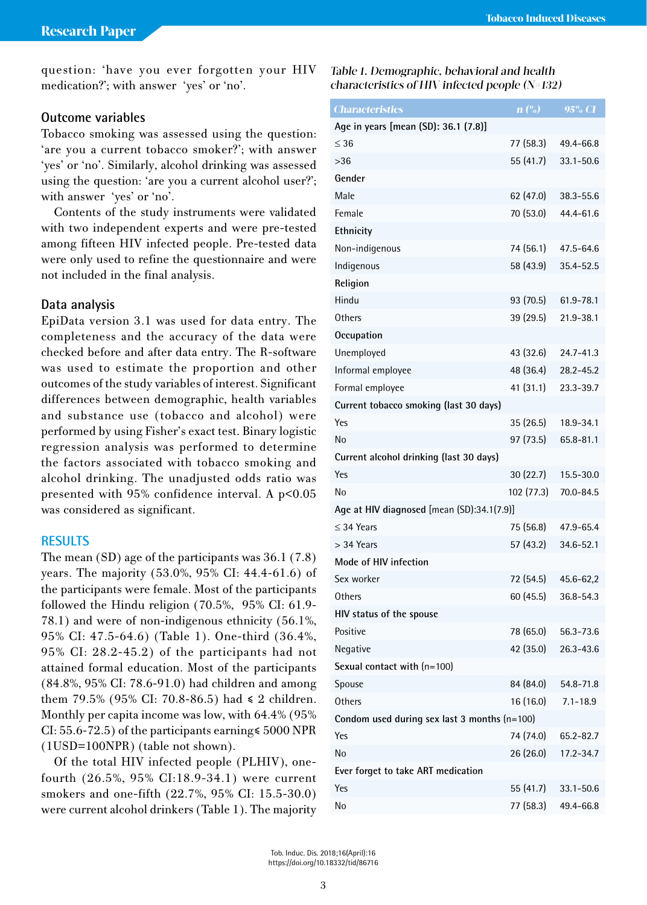question: 'have you ever forgotten your HIV medication?'; with answer 'yes' or 'no'.

# **Outcome variables**

Tobacco smoking was assessed using the question: 'are you a current tobacco smoker?'; with answer 'yes' or 'no'. Similarly, alcohol drinking was assessed using the question: 'are you a current alcohol user?'; with answer 'yes' or 'no'.

Contents of the study instruments were validated with two independent experts and were pre-tested among fifteen HIV infected people. Pre-tested data were only used to refine the questionnaire and were not included in the final analysis.

### **Data analysis**

EpiData version 3.1 was used for data entry. The completeness and the accuracy of the data were checked before and after data entry. The R-software was used to estimate the proportion and other outcomes of the study variables of interest. Significant differences between demographic, health variables and substance use (tobacco and alcohol) were performed by using Fisher's exact test. Binary logistic regression analysis was performed to determine the factors associated with tobacco smoking and alcohol drinking. The unadjusted odds ratio was presented with 95% confidence interval. A p<0.05 was considered as significant.

## **RESULTS**

The mean (SD) age of the participants was 36.1 (7.8) years. The majority (53.0%, 95% CI: 44.4-61.6) of the participants were female. Most of the participants followed the Hindu religion (70.5%, 95% CI: 61.9- 78.1) and were of non-indigenous ethnicity (56.1%, 95% CI: 47.5-64.6) (Table 1). One-third (36.4%, 95% CI: 28.2-45.2) of the participants had not attained formal education. Most of the participants (84.8%, 95% CI: 78.6-91.0) had children and among them 79.5% (95% CI: 70.8-86.5) had  $\leq 2$  children. Monthly per capita income was low, with 64.4% (95% CI: 55.6-72.5) of the participants earning≤ 5000 NPR (1USD=100NPR) (table not shown).

Of the total HIV infected people (PLHIV), onefourth (26.5%, 95% CI:18.9-34.1) were current smokers and one-fifth (22.7%, 95% CI: 15.5-30.0) were current alcohol drinkers (Table 1). The majority

Table 1. Demographic, behavioral and health characteristics of HIV infected people  $(N=132)$ 

| <b>Characteristics</b>                         | $\mathbf{n}$ (%) | $95\%$ CI     |
|------------------------------------------------|------------------|---------------|
| Age in years [mean (SD): 36.1 (7.8)]           |                  |               |
| $\leq 36$                                      | 77 (58.3)        | 49.4-66.8     |
| >36                                            | 55 (41.7)        | $33.1 - 50.6$ |
| Gender                                         |                  |               |
| Male                                           | 62 (47.0)        | 38.3-55.6     |
| Female                                         | 70 (53.0)        | 44.4-61.6     |
| Ethnicity                                      |                  |               |
| Non-indigenous                                 | 74 (56.1)        | 47.5-64.6     |
| Indigenous                                     | 58 (43.9)        | 35.4-52.5     |
| Religion                                       |                  |               |
| Hindu                                          | 93 (70.5)        | 61.9-78.1     |
| Others                                         | 39 (29.5)        | 21.9-38.1     |
| Occupation                                     |                  |               |
| Unemployed                                     | 43 (32.6)        | $24.7 - 41.3$ |
| Informal employee                              | 48 (36.4)        | 28.2-45.2     |
| Formal employee                                | 41 (31.1)        | 23.3-39.7     |
| Current tobacco smoking (last 30 days)         |                  |               |
| Yes                                            | 35(26.5)         | 18.9-34.1     |
| No                                             | 97 (73.5)        | 65.8-81.1     |
| Current alcohol drinking (last 30 days)        |                  |               |
| Yes                                            | 30(22.7)         | 15.5-30.0     |
| N <sub>0</sub>                                 | 102 (77.3)       | 70.0-84.5     |
| Age at HIV diagnosed [mean (SD):34.1(7.9)]     |                  |               |
| $\leq$ 34 Years                                | 75 (56.8)        | 47.9-65.4     |
| $>$ 34 Years                                   | 57 (43.2)        | 34.6-52.1     |
| Mode of HIV infection                          |                  |               |
| Sex worker                                     | 72 (54.5)        | 45.6-62,2     |
| Others                                         | 60 (45.5)        | 36.8-54.3     |
| HIV status of the spouse                       |                  |               |
| Positive                                       | 78 (65.0)        | 56.3-73.6     |
| Negative                                       | 42 (35.0)        | 26.3-43.6     |
| Sexual contact with $(n=100)$                  |                  |               |
| Spouse                                         | 84 (84.0)        | 54.8-71.8     |
| Others                                         | 16 (16.0)        | $7.1 - 18.9$  |
| Condom used during sex last 3 months $(n=100)$ |                  |               |
| Yes                                            | 74 (74.0)        | 65.2-82.7     |
| No                                             | 26 (26.0)        | 17.2-34.7     |
| Ever forget to take ART medication             |                  |               |
| Yes                                            | 55 (41.7)        | $33.1 - 50.6$ |
| No                                             | 77 (58.3)        | 49.4-66.8     |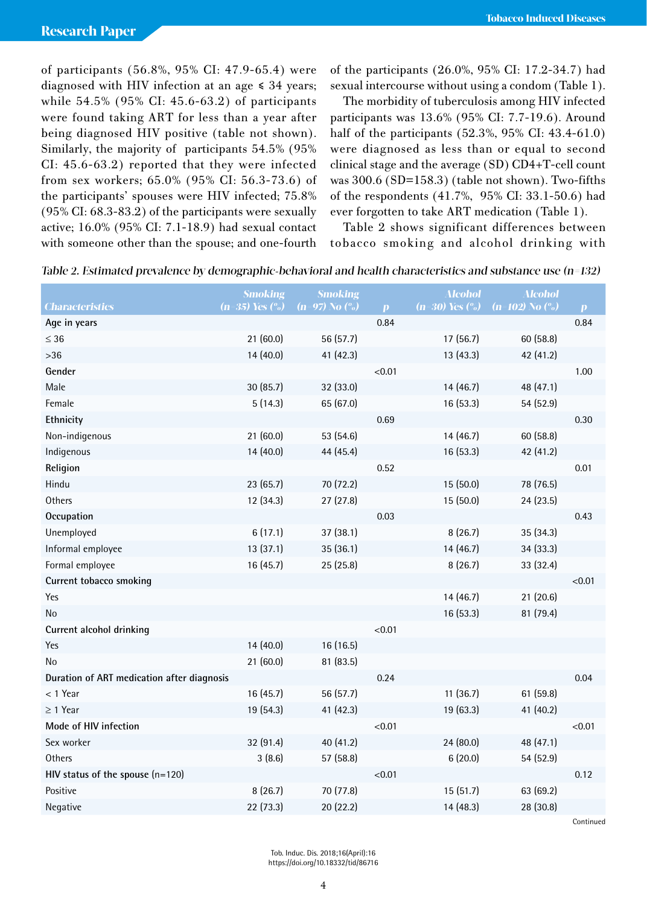of participants (56.8%, 95% CI: 47.9-65.4) were diagnosed with HIV infection at an age  $\leq 34$  years; while 54.5% (95% CI: 45.6-63.2) of participants were found taking ART for less than a year after being diagnosed HIV positive (table not shown). Similarly, the majority of participants 54.5% (95% CI: 45.6-63.2) reported that they were infected from sex workers; 65.0% (95% CI: 56.3-73.6) of the participants' spouses were HIV infected; 75.8% (95% CI: 68.3-83.2) of the participants were sexually active; 16.0% (95% CI: 7.1-18.9) had sexual contact with someone other than the spouse; and one-fourth

of the participants (26.0%, 95% CI: 17.2-34.7) had sexual intercourse without using a condom (Table 1).

The morbidity of tuberculosis among HIV infected participants was 13.6% (95% CI: 7.7-19.6). Around half of the participants (52.3%, 95% CI: 43.4-61.0) were diagnosed as less than or equal to second clinical stage and the average (SD) CD4+T-cell count was 300.6 (SD=158.3) (table not shown). Two-fifths of the respondents (41.7%, 95% CI: 33.1-50.6) had ever forgotten to take ART medication (Table 1).

Table 2 shows significant differences between tobacco smoking and alcohol drinking with

|                                            | <b>Smoking</b>      | <b>Smoking</b>             |              | <b>Alcohol</b>              | <b>Alcohol</b>              |                  |
|--------------------------------------------|---------------------|----------------------------|--------------|-----------------------------|-----------------------------|------------------|
| <b>Characteristics</b>                     | $(n=35)$ Yes $(\%)$ | $(n=97)$ No $\binom{0}{0}$ | $\mathbf{p}$ | $(n=30)$ Yes $\binom{0}{0}$ | $(n=102)$ No $\binom{0}{0}$ | $\boldsymbol{p}$ |
| Age in years                               |                     |                            | 0.84         |                             |                             | 0.84             |
| $\leq 36$                                  | 21(60.0)            | 56 (57.7)                  |              | 17(56.7)                    | 60 (58.8)                   |                  |
| $>36$                                      | 14 (40.0)           | 41 (42.3)                  |              | 13(43.3)                    | 42 (41.2)                   |                  |
| Gender                                     |                     |                            | < 0.01       |                             |                             | 1.00             |
| Male                                       | 30(85.7)            | 32 (33.0)                  |              | 14(46.7)                    | 48 (47.1)                   |                  |
| Female                                     | 5(14.3)             | 65 (67.0)                  |              | 16 (53.3)                   | 54 (52.9)                   |                  |
| Ethnicity                                  |                     |                            | 0.69         |                             |                             | 0.30             |
| Non-indigenous                             | 21 (60.0)           | 53 (54.6)                  |              | 14 (46.7)                   | 60 (58.8)                   |                  |
| Indigenous                                 | 14 (40.0)           | 44 (45.4)                  |              | 16 (53.3)                   | 42 (41.2)                   |                  |
| Religion                                   |                     |                            | 0.52         |                             |                             | 0.01             |
| Hindu                                      | 23(65.7)            | 70 (72.2)                  |              | 15 (50.0)                   | 78 (76.5)                   |                  |
| Others                                     | 12 (34.3)           | 27(27.8)                   |              | 15 (50.0)                   | 24(23.5)                    |                  |
| Occupation                                 |                     |                            | 0.03         |                             |                             | 0.43             |
| Unemployed                                 | 6(17.1)             | 37(38.1)                   |              | 8(26.7)                     | 35 (34.3)                   |                  |
| Informal employee                          | 13(37.1)            | 35(36.1)                   |              | 14(46.7)                    | 34 (33.3)                   |                  |
| Formal employee                            | 16 (45.7)           | 25 (25.8)                  |              | 8(26.7)                     | 33 (32.4)                   |                  |
| Current tobacco smoking                    |                     |                            |              |                             |                             | < 0.01           |
| Yes                                        |                     |                            |              | 14(46.7)                    | 21(20.6)                    |                  |
| No                                         |                     |                            |              | 16 (53.3)                   | 81 (79.4)                   |                  |
| Current alcohol drinking                   |                     |                            | < 0.01       |                             |                             |                  |
| Yes                                        | 14(40.0)            | 16 (16.5)                  |              |                             |                             |                  |
| No                                         | 21(60.0)            | 81 (83.5)                  |              |                             |                             |                  |
| Duration of ART medication after diagnosis |                     |                            | 0.24         |                             |                             | 0.04             |
| < 1 Year                                   | 16(45.7)            | 56 (57.7)                  |              | 11(36.7)                    | 61(59.8)                    |                  |
| $\geq$ 1 Year                              | 19 (54.3)           | 41 (42.3)                  |              | 19 (63.3)                   | 41 (40.2)                   |                  |
| Mode of HIV infection                      |                     |                            | < 0.01       |                             |                             | < 0.01           |
| Sex worker                                 | 32 (91.4)           | 40 (41.2)                  |              | 24 (80.0)                   | 48 (47.1)                   |                  |
| Others                                     | 3(8.6)              | 57 (58.8)                  |              | 6(20.0)                     | 54 (52.9)                   |                  |
| HIV status of the spouse $(n=120)$         |                     |                            | < 0.01       |                             |                             | 0.12             |
| Positive                                   | 8(26.7)             | 70 (77.8)                  |              | 15(51.7)                    | 63 (69.2)                   |                  |
| Negative                                   | 22 (73.3)           | 20 (22.2)                  |              | 14 (48.3)                   | 28 (30.8)                   |                  |

Table 2. Estimated prevalence by demographic-behavioral and health characteristics and substance use (n=132 )

Continued

Tob. Induc. Dis. 2018;16(April):16 https://doi.org/10.18332/tid/86716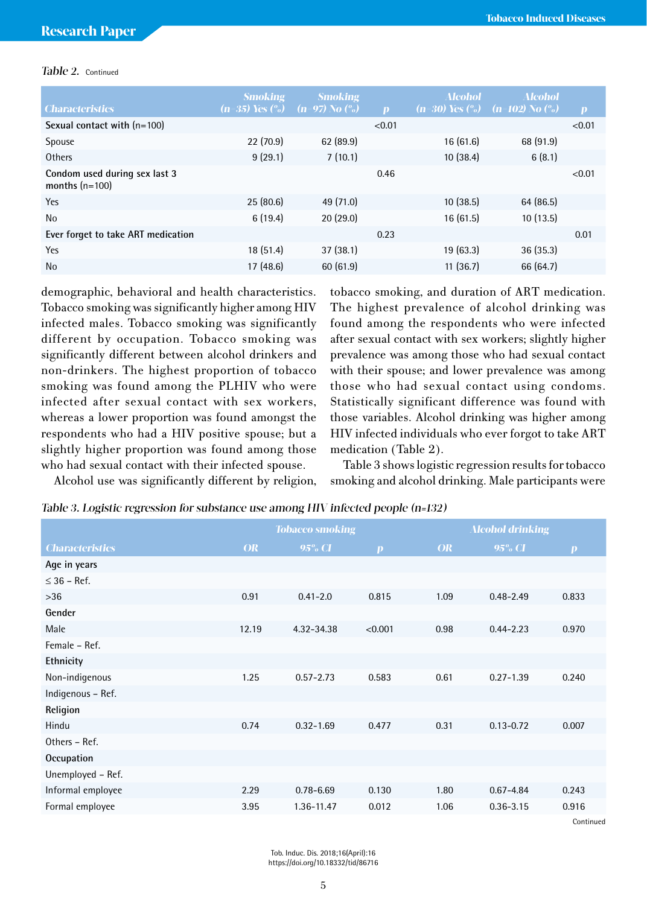#### Table 2. Continued

|                                                   | <b>Smoking</b>      | <b>Smoking</b>             |              | <b>Alcohol</b> | <b>Alcohol</b>                                          |                  |
|---------------------------------------------------|---------------------|----------------------------|--------------|----------------|---------------------------------------------------------|------------------|
| <b>Characteristics</b>                            | $(n=35)$ Yes $(\%)$ | $(n=97)$ No $\binom{0}{0}$ | $\mathbf{D}$ |                | $(n=30)$ Yes $\binom{0}{0}$ $(n=102)$ No $\binom{0}{0}$ | $\boldsymbol{p}$ |
| Sexual contact with $(n=100)$                     |                     |                            | < 0.01       |                |                                                         | < 0.01           |
| <b>Spouse</b>                                     | 22(70.9)            | 62(89.9)                   |              | 16(61.6)       | 68 (91.9)                                               |                  |
| Others                                            | 9(29.1)             | 7(10.1)                    |              | 10(38.4)       | 6(8.1)                                                  |                  |
| Condom used during sex last 3<br>months $(n=100)$ |                     |                            | 0.46         |                |                                                         | < 0.01           |
| Yes                                               | 25(80.6)            | 49 (71.0)                  |              | 10(38.5)       | 64 (86.5)                                               |                  |
| <b>No</b>                                         | 6(19.4)             | 20(29.0)                   |              | 16(61.5)       | 10(13.5)                                                |                  |
| Ever forget to take ART medication                |                     |                            | 0.23         |                |                                                         | 0.01             |
| Yes                                               | 18(51.4)            | 37(38.1)                   |              | 19(63.3)       | 36(35.3)                                                |                  |
| <b>No</b>                                         | 17(48.6)            | 60(61.9)                   |              | 11(36.7)       | 66 (64.7)                                               |                  |

demographic, behavioral and health characteristics. Tobacco smoking was significantly higher among HIV infected males. Tobacco smoking was significantly different by occupation. Tobacco smoking was significantly different between alcohol drinkers and non-drinkers. The highest proportion of tobacco smoking was found among the PLHIV who were infected after sexual contact with sex workers, whereas a lower proportion was found amongst the respondents who had a HIV positive spouse; but a slightly higher proportion was found among those who had sexual contact with their infected spouse.

Alcohol use was significantly different by religion,

tobacco smoking, and duration of ART medication. The highest prevalence of alcohol drinking was found among the respondents who were infected after sexual contact with sex workers; slightly higher prevalence was among those who had sexual contact with their spouse; and lower prevalence was among those who had sexual contact using condoms. Statistically significant difference was found with those variables. Alcohol drinking was higher among HIV infected individuals who ever forgot to take ART medication (Table 2).

Table 3 shows logistic regression results for tobacco smoking and alcohol drinking. Male participants were

|  | Table 3. Logistic regression for substance use among HIV infected people (n=132) |  |
|--|----------------------------------------------------------------------------------|--|
|  |                                                                                  |  |

|                        |           | <b>Tobacco smoking</b> |                  |           | <b>Alcohol drinking</b> |                  |  |
|------------------------|-----------|------------------------|------------------|-----------|-------------------------|------------------|--|
| <b>Characteristics</b> | <b>OR</b> | 95% CI                 | $\boldsymbol{p}$ | <b>OR</b> | $95\%$ CI               | $\boldsymbol{p}$ |  |
| Age in years           |           |                        |                  |           |                         |                  |  |
| $\leq$ 36 – Ref.       |           |                        |                  |           |                         |                  |  |
| $>36$                  | 0.91      | $0.41 - 2.0$           | 0.815            | 1.09      | $0.48 - 2.49$           | 0.833            |  |
| Gender                 |           |                        |                  |           |                         |                  |  |
| Male                   | 12.19     | 4.32-34.38             | < 0.001          | 0.98      | $0.44 - 2.23$           | 0.970            |  |
| Female - Ref.          |           |                        |                  |           |                         |                  |  |
| Ethnicity              |           |                        |                  |           |                         |                  |  |
| Non-indigenous         | 1.25      | $0.57 - 2.73$          | 0.583            | 0.61      | $0.27 - 1.39$           | 0.240            |  |
| Indigenous - Ref.      |           |                        |                  |           |                         |                  |  |
| Religion               |           |                        |                  |           |                         |                  |  |
| Hindu                  | 0.74      | $0.32 - 1.69$          | 0.477            | 0.31      | $0.13 - 0.72$           | 0.007            |  |
| Others - Ref.          |           |                        |                  |           |                         |                  |  |
| Occupation             |           |                        |                  |           |                         |                  |  |
| Unemployed - Ref.      |           |                        |                  |           |                         |                  |  |
| Informal employee      | 2.29      | $0.78 - 6.69$          | 0.130            | 1.80      | $0.67 - 4.84$           | 0.243            |  |
| Formal employee        | 3.95      | 1.36-11.47             | 0.012            | 1.06      | $0.36 - 3.15$           | 0.916            |  |
|                        |           |                        |                  |           |                         |                  |  |

Continued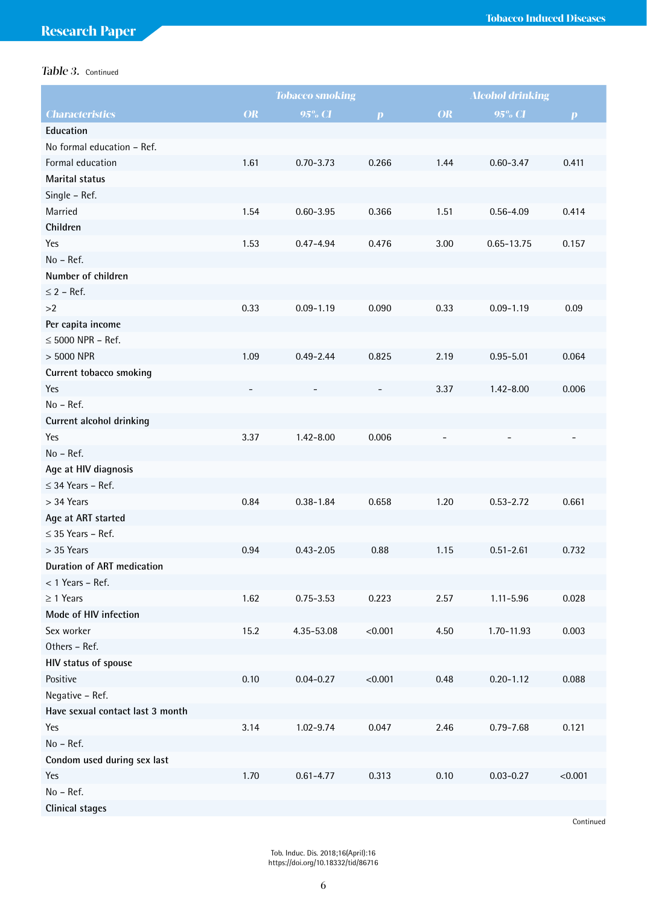# Table 3. Continued

|                                   | <b>Tobacco smoking</b> |               | <b>Alcohol drinking</b> |                          |               |                  |
|-----------------------------------|------------------------|---------------|-------------------------|--------------------------|---------------|------------------|
| <b>Characteristics</b>            | OR                     | $95\%$ CI     | $\boldsymbol{p}$        | OR                       | 95% CI        | $\boldsymbol{p}$ |
| Education                         |                        |               |                         |                          |               |                  |
| No formal education - Ref.        |                        |               |                         |                          |               |                  |
| Formal education                  | 1.61                   | $0.70 - 3.73$ | 0.266                   | 1.44                     | $0.60 - 3.47$ | 0.411            |
| Marital status                    |                        |               |                         |                          |               |                  |
| Single - Ref.                     |                        |               |                         |                          |               |                  |
| Married                           | 1.54                   | $0.60 - 3.95$ | 0.366                   | 1.51                     | $0.56 - 4.09$ | 0.414            |
| Children                          |                        |               |                         |                          |               |                  |
| Yes                               | 1.53                   | $0.47 - 4.94$ | 0.476                   | 3.00                     | 0.65-13.75    | 0.157            |
| No - Ref.                         |                        |               |                         |                          |               |                  |
| Number of children                |                        |               |                         |                          |               |                  |
| $\leq$ 2 – Ref.                   |                        |               |                         |                          |               |                  |
| >2                                | 0.33                   | $0.09 - 1.19$ | 0.090                   | 0.33                     | $0.09 - 1.19$ | 0.09             |
| Per capita income                 |                        |               |                         |                          |               |                  |
| $\leq$ 5000 NPR - Ref.            |                        |               |                         |                          |               |                  |
| > 5000 NPR                        | 1.09                   | $0.49 - 2.44$ | 0.825                   | 2.19                     | $0.95 - 5.01$ | 0.064            |
| Current tobacco smoking           |                        |               |                         |                          |               |                  |
| Yes                               |                        |               |                         | 3.37                     | $1.42 - 8.00$ | 0.006            |
| No - Ref.                         |                        |               |                         |                          |               |                  |
| Current alcohol drinking          |                        |               |                         |                          |               |                  |
| Yes                               | 3.37                   | $1.42 - 8.00$ | 0.006                   | $\overline{\phantom{0}}$ |               |                  |
| No - Ref.                         |                        |               |                         |                          |               |                  |
| Age at HIV diagnosis              |                        |               |                         |                          |               |                  |
| $\leq$ 34 Years - Ref.            |                        |               |                         |                          |               |                  |
| $>$ 34 Years                      | 0.84                   | $0.38 - 1.84$ | 0.658                   | 1.20                     | $0.53 - 2.72$ | 0.661            |
| Age at ART started                |                        |               |                         |                          |               |                  |
| $\leq$ 35 Years - Ref.            |                        |               |                         |                          |               |                  |
| > 35 Years                        | 0.94                   | $0.43 - 2.05$ | 0.88                    | 1.15                     | $0.51 - 2.61$ | 0.732            |
| <b>Duration of ART medication</b> |                        |               |                         |                          |               |                  |
| < 1 Years - Ref.                  |                        |               |                         |                          |               |                  |
| $\geq$ 1 Years                    | 1.62                   | $0.75 - 3.53$ | 0.223                   | 2.57                     | $1.11 - 5.96$ | 0.028            |
| Mode of HIV infection             |                        |               |                         |                          |               |                  |
| Sex worker                        | 15.2                   | 4.35-53.08    | < 0.001                 | 4.50                     | 1.70-11.93    | 0.003            |
| Others - Ref.                     |                        |               |                         |                          |               |                  |
| HIV status of spouse              |                        |               |                         |                          |               |                  |
| Positive                          | 0.10                   | $0.04 - 0.27$ | < 0.001                 | 0.48                     | $0.20 - 1.12$ | 0.088            |
| Negative - Ref.                   |                        |               |                         |                          |               |                  |
| Have sexual contact last 3 month  |                        |               |                         |                          |               |                  |
| Yes                               | 3.14                   | $1.02 - 9.74$ | 0.047                   | 2.46                     | $0.79 - 7.68$ | 0.121            |
| No - Ref.                         |                        |               |                         |                          |               |                  |
| Condom used during sex last       |                        |               |                         |                          |               |                  |
| Yes                               | 1.70                   | $0.61 - 4.77$ | 0.313                   | 0.10                     | $0.03 - 0.27$ | < 0.001          |
| No - Ref.                         |                        |               |                         |                          |               |                  |
| Clinical stages                   |                        |               |                         |                          |               |                  |

Continued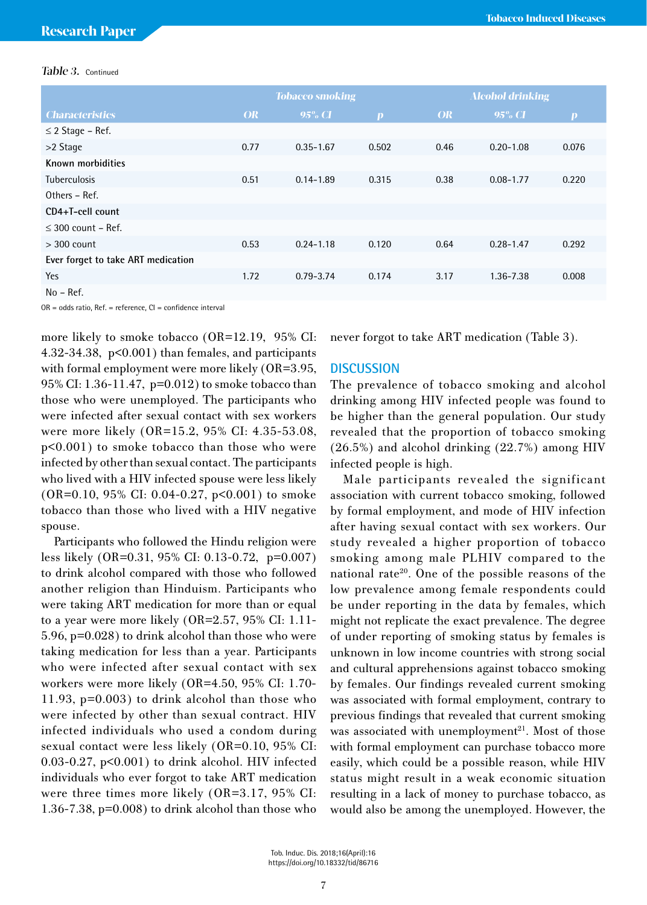#### Table 3. Continued

|                                    | <b>Tobacco smoking</b> |               |                  |           | <b>Alcohol drinking</b> |                  |  |
|------------------------------------|------------------------|---------------|------------------|-----------|-------------------------|------------------|--|
| <b>Characteristics</b>             | <b>OR</b>              | $95\%$ CI     | $\boldsymbol{p}$ | <b>OR</b> | 95% CI                  | $\boldsymbol{p}$ |  |
| $\leq$ 2 Stage – Ref.              |                        |               |                  |           |                         |                  |  |
| >2 Stage                           | 0.77                   | $0.35 - 1.67$ | 0.502            | 0.46      | $0.20 - 1.08$           | 0.076            |  |
| Known morbidities                  |                        |               |                  |           |                         |                  |  |
| <b>Tuberculosis</b>                | 0.51                   | $0.14 - 1.89$ | 0.315            | 0.38      | $0.08 - 1.77$           | 0.220            |  |
| Others - Ref.                      |                        |               |                  |           |                         |                  |  |
| CD4+T-cell count                   |                        |               |                  |           |                         |                  |  |
| $\leq$ 300 count – Ref.            |                        |               |                  |           |                         |                  |  |
| $>$ 300 count                      | 0.53                   | $0.24 - 1.18$ | 0.120            | 0.64      | $0.28 - 1.47$           | 0.292            |  |
| Ever forget to take ART medication |                        |               |                  |           |                         |                  |  |
| Yes                                | 1.72                   | $0.79 - 3.74$ | 0.174            | 3.17      | 1.36-7.38               | 0.008            |  |
| $No - Ref.$                        |                        |               |                  |           |                         |                  |  |

OR = odds ratio, Ref. = reference, CI = confidence interval

more likely to smoke tobacco (OR=12.19, 95% CI: 4.32-34.38, p<0.001) than females, and participants with formal employment were more likely (OR=3.95, 95% CI: 1.36-11.47, p=0.012) to smoke tobacco than those who were unemployed. The participants who were infected after sexual contact with sex workers were more likely (OR=15.2, 95% CI: 4.35-53.08, p<0.001) to smoke tobacco than those who were infected by other than sexual contact. The participants who lived with a HIV infected spouse were less likely (OR=0.10, 95% CI: 0.04-0.27, p<0.001) to smoke tobacco than those who lived with a HIV negative spouse.

Participants who followed the Hindu religion were less likely (OR=0.31, 95% CI: 0.13-0.72, p=0.007) to drink alcohol compared with those who followed another religion than Hinduism. Participants who were taking ART medication for more than or equal to a year were more likely (OR=2.57, 95% CI: 1.11- 5.96, p=0.028) to drink alcohol than those who were taking medication for less than a year. Participants who were infected after sexual contact with sex workers were more likely (OR=4.50, 95% CI: 1.70- 11.93, p=0.003) to drink alcohol than those who were infected by other than sexual contract. HIV infected individuals who used a condom during sexual contact were less likely (OR=0.10, 95% CI: 0.03-0.27, p<0.001) to drink alcohol. HIV infected individuals who ever forgot to take ART medication were three times more likely (OR=3.17, 95% CI: 1.36-7.38, p=0.008) to drink alcohol than those who never forgot to take ART medication (Table 3).

## **DISCUSSION**

The prevalence of tobacco smoking and alcohol drinking among HIV infected people was found to be higher than the general population. Our study revealed that the proportion of tobacco smoking (26.5%) and alcohol drinking (22.7%) among HIV infected people is high.

Male participants revealed the significant association with current tobacco smoking, followed by formal employment, and mode of HIV infection after having sexual contact with sex workers. Our study revealed a higher proportion of tobacco smoking among male PLHIV compared to the national rate<sup>20</sup>. One of the possible reasons of the low prevalence among female respondents could be under reporting in the data by females, which might not replicate the exact prevalence. The degree of under reporting of smoking status by females is unknown in low income countries with strong social and cultural apprehensions against tobacco smoking by females. Our findings revealed current smoking was associated with formal employment, contrary to previous findings that revealed that current smoking was associated with unemployment $2^1$ . Most of those with formal employment can purchase tobacco more easily, which could be a possible reason, while HIV status might result in a weak economic situation resulting in a lack of money to purchase tobacco, as would also be among the unemployed. However, the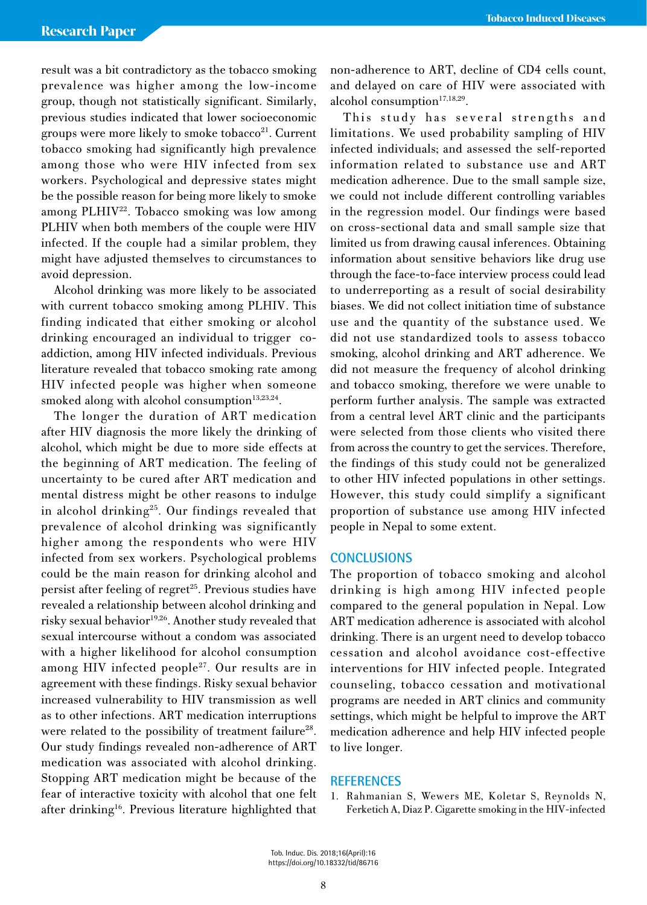result was a bit contradictory as the tobacco smoking prevalence was higher among the low-income group, though not statistically significant. Similarly, previous studies indicated that lower socioeconomic groups were more likely to smoke tobacco<sup>21</sup>. Current tobacco smoking had significantly high prevalence among those who were HIV infected from sex workers. Psychological and depressive states might be the possible reason for being more likely to smoke among PLHIV<sup>22</sup>. Tobacco smoking was low among PLHIV when both members of the couple were HIV infected. If the couple had a similar problem, they might have adjusted themselves to circumstances to avoid depression.

Alcohol drinking was more likely to be associated with current tobacco smoking among PLHIV. This finding indicated that either smoking or alcohol drinking encouraged an individual to trigger coaddiction, among HIV infected individuals. Previous literature revealed that tobacco smoking rate among HIV infected people was higher when someone smoked along with alcohol consumption $13,23,24$ .

The longer the duration of ART medication after HIV diagnosis the more likely the drinking of alcohol, which might be due to more side effects at the beginning of ART medication. The feeling of uncertainty to be cured after ART medication and mental distress might be other reasons to indulge in alcohol drinking<sup>25</sup>. Our findings revealed that prevalence of alcohol drinking was significantly higher among the respondents who were HIV infected from sex workers. Psychological problems could be the main reason for drinking alcohol and persist after feeling of regret<sup>25</sup>. Previous studies have revealed a relationship between alcohol drinking and risky sexual behavior $19,26$ . Another study revealed that sexual intercourse without a condom was associated with a higher likelihood for alcohol consumption among HIV infected people<sup>27</sup>. Our results are in agreement with these findings. Risky sexual behavior increased vulnerability to HIV transmission as well as to other infections. ART medication interruptions were related to the possibility of treatment failure<sup>28</sup>. Our study findings revealed non-adherence of ART medication was associated with alcohol drinking. Stopping ART medication might be because of the fear of interactive toxicity with alcohol that one felt after drinking<sup>16</sup>. Previous literature highlighted that

non-adherence to ART, decline of CD4 cells count, and delayed on care of HIV were associated with alcohol consumption<sup>17,18,29</sup>.

This study has several strengths and limitations. We used probability sampling of HIV infected individuals; and assessed the self-reported information related to substance use and ART medication adherence. Due to the small sample size, we could not include different controlling variables in the regression model. Our findings were based on cross-sectional data and small sample size that limited us from drawing causal inferences. Obtaining information about sensitive behaviors like drug use through the face-to-face interview process could lead to underreporting as a result of social desirability biases. We did not collect initiation time of substance use and the quantity of the substance used. We did not use standardized tools to assess tobacco smoking, alcohol drinking and ART adherence. We did not measure the frequency of alcohol drinking and tobacco smoking, therefore we were unable to perform further analysis. The sample was extracted from a central level ART clinic and the participants were selected from those clients who visited there from across the country to get the services. Therefore, the findings of this study could not be generalized to other HIV infected populations in other settings. However, this study could simplify a significant proportion of substance use among HIV infected people in Nepal to some extent.

#### **CONCLUSIONS**

The proportion of tobacco smoking and alcohol drinking is high among HIV infected people compared to the general population in Nepal. Low ART medication adherence is associated with alcohol drinking. There is an urgent need to develop tobacco cessation and alcohol avoidance cost-effective interventions for HIV infected people. Integrated counseling, tobacco cessation and motivational programs are needed in ART clinics and community settings, which might be helpful to improve the ART medication adherence and help HIV infected people to live longer.

#### **REFERENCES**

1. Rahmanian S, Wewers ME, Koletar S, Reynolds N, Ferketich A, Diaz P. Cigarette smoking in the HIV-infected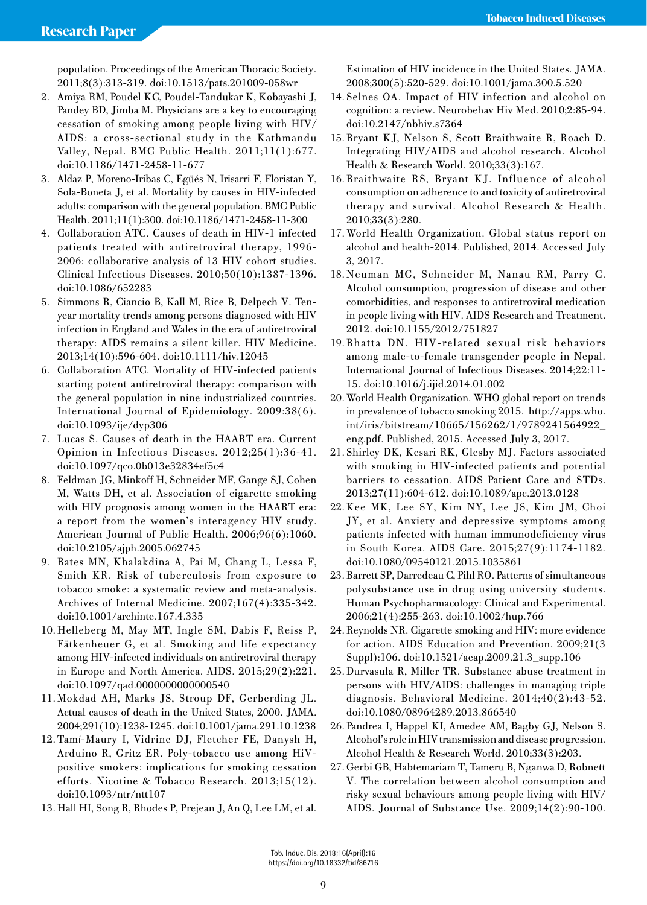population. Proceedings of the American Thoracic Society. 2011;8(3):313-319. doi:10.1513/pats.201009-058wr

- 2. Amiya RM, Poudel KC, Poudel-Tandukar K, Kobayashi J, Pandey BD, Jimba M. Physicians are a key to encouraging cessation of smoking among people living with HIV/ AIDS: a cross-sectional study in the Kathmandu Valley, Nepal. BMC Public Health. 2011;11(1):677. doi:10.1186/1471-2458-11-677
- 3. Aldaz P, Moreno-Iribas C, Egüés N, Irisarri F, Floristan Y, Sola-Boneta J, et al. Mortality by causes in HIV-infected adults: comparison with the general population. BMC Public Health. 2011;11(1):300. doi:10.1186/1471-2458-11-300
- 4. Collaboration ATC. Causes of death in HIV-1 infected patients treated with antiretroviral therapy, 1996- 2006: collaborative analysis of 13 HIV cohort studies. Clinical Infectious Diseases. 2010;50(10):1387-1396. doi:10.1086/652283
- 5. Simmons R, Ciancio B, Kall M, Rice B, Delpech V. Tenyear mortality trends among persons diagnosed with HIV infection in England and Wales in the era of antiretroviral therapy: AIDS remains a silent killer. HIV Medicine. 2013;14(10):596-604. doi:10.1111/hiv.12045
- 6. Collaboration ATC. Mortality of HIV-infected patients starting potent antiretroviral therapy: comparison with the general population in nine industrialized countries. International Journal of Epidemiology. 2009:38(6). doi:10.1093/ije/dyp306
- 7. Lucas S. Causes of death in the HAART era. Current Opinion in Infectious Diseases. 2012;25(1):36-41. doi:10.1097/qco.0b013e32834ef5c4
- 8. Feldman JG, Minkoff H, Schneider MF, Gange SJ, Cohen M, Watts DH, et al. Association of cigarette smoking with HIV prognosis among women in the HAART era: a report from the women's interagency HIV study. American Journal of Public Health. 2006;96(6):1060. doi:10.2105/ajph.2005.062745
- 9. Bates MN, Khalakdina A, Pai M, Chang L, Lessa F, Smith KR. Risk of tuberculosis from exposure to tobacco smoke: a systematic review and meta-analysis. Archives of Internal Medicine. 2007;167(4):335-342. doi:10.1001/archinte.167.4.335
- 10. Helleberg M, May MT, Ingle SM, Dabis F, Reiss P, Fätkenheuer G, et al. Smoking and life expectancy among HIV-infected individuals on antiretroviral therapy in Europe and North America. AIDS. 2015;29(2):221. doi:10.1097/qad.0000000000000540
- 11.Mokdad AH, Marks JS, Stroup DF, Gerberding JL. Actual causes of death in the United States, 2000. JAMA. 2004;291(10):1238-1245. doi:10.1001/jama.291.10.1238
- 12. Tamí-Maury I, Vidrine DJ, Fletcher FE, Danysh H, Arduino R, Gritz ER. Poly-tobacco use among HiVpositive smokers: implications for smoking cessation efforts. Nicotine & Tobacco Research. 2013;15(12). doi:10.1093/ntr/ntt107
- 13. Hall HI, Song R, Rhodes P, Prejean J, An Q, Lee LM, et al.

Estimation of HIV incidence in the United States. JAMA. 2008;300(5):520-529. doi:10.1001/jama.300.5.520

- 14. Selnes OA. Impact of HIV infection and alcohol on cognition: a review. Neurobehav Hiv Med. 2010;2:85-94. doi:10.2147/nbhiv.s7364
- 15. Bryant KJ, Nelson S, Scott Braithwaite R, Roach D. Integrating HIV/AIDS and alcohol research. Alcohol Health & Research World. 2010;33(3):167.
- 16. Braithwaite RS, Bryant KJ. Influence of alcohol consumption on adherence to and toxicity of antiretroviral therapy and survival. Alcohol Research & Health. 2010;33(3):280.
- 17. World Health Organization. Global status report on alcohol and health-2014. Published, 2014. Accessed July 3, 2017.
- 18. Neuman MG, Schneider M, Nanau RM, Parry C. Alcohol consumption, progression of disease and other comorbidities, and responses to antiretroviral medication in people living with HIV. AIDS Research and Treatment. 2012. doi:10.1155/2012/751827
- 19. Bhatta DN. HIV-related sexual risk behaviors among male-to-female transgender people in Nepal. International Journal of Infectious Diseases. 2014;22:11- 15. doi:10.1016/j.ijid.2014.01.002
- 20. World Health Organization. WHO global report on trends in prevalence of tobacco smoking 2015. http://apps.who. int/iris/bitstream/10665/156262/1/9789241564922\_ eng.pdf. Published, 2015. Accessed July 3, 2017.
- 21. Shirley DK, Kesari RK, Glesby MJ. Factors associated with smoking in HIV-infected patients and potential barriers to cessation. AIDS Patient Care and STDs. 2013;27(11):604-612. doi:10.1089/apc.2013.0128
- 22.Kee MK, Lee SY, Kim NY, Lee JS, Kim JM, Choi JY, et al. Anxiety and depressive symptoms among patients infected with human immunodeficiency virus in South Korea. AIDS Care. 2015;27(9):1174-1182. doi:10.1080/09540121.2015.1035861
- 23. Barrett SP, Darredeau C, Pihl RO. Patterns of simultaneous polysubstance use in drug using university students. Human Psychopharmacology: Clinical and Experimental. 2006;21(4):255-263. doi:10.1002/hup.766
- 24.Reynolds NR. Cigarette smoking and HIV: more evidence for action. AIDS Education and Prevention. 2009;21(3 Suppl):106. doi:10.1521/aeap.2009.21.3\_supp.106
- 25.Durvasula R, Miller TR. Substance abuse treatment in persons with HIV/AIDS: challenges in managing triple diagnosis. Behavioral Medicine. 2014;40(2):43-52. doi:10.1080/08964289.2013.866540
- 26. Pandrea I, Happel KI, Amedee AM, Bagby GJ, Nelson S. Alcohol's role in HIV transmission and disease progression. Alcohol Health & Research World. 2010;33(3):203.
- 27.Gerbi GB, Habtemariam T, Tameru B, Nganwa D, Robnett V. The correlation between alcohol consumption and risky sexual behaviours among people living with HIV/ AIDS. Journal of Substance Use. 2009;14(2):90-100.